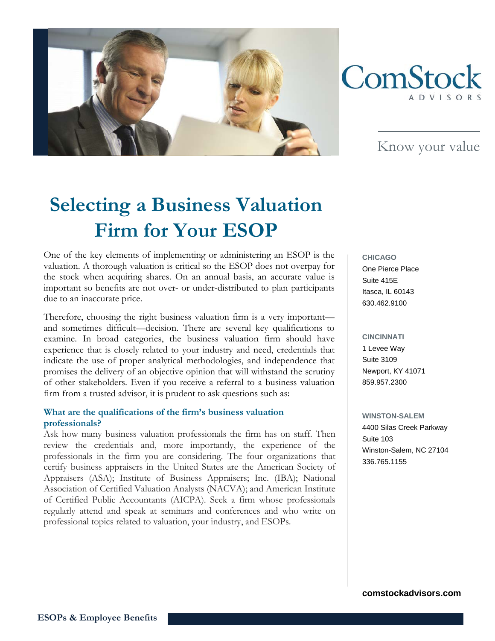



Know your value

# **Selecting a Business Valuation Firm for Your ESOP**

One of the key elements of implementing or administering an ESOP is the valuation. A thorough valuation is critical so the ESOP does not overpay for the stock when acquiring shares. On an annual basis, an accurate value is important so benefits are not over- or under-distributed to plan participants due to an inaccurate price.

Therefore, choosing the right business valuation firm is a very important and sometimes difficult—decision. There are several key qualifications to examine. In broad categories, the business valuation firm should have experience that is closely related to your industry and need, credentials that indicate the use of proper analytical methodologies, and independence that promises the delivery of an objective opinion that will withstand the scrutiny of other stakeholders. Even if you receive a referral to a business valuation firm from a trusted advisor, it is prudent to ask questions such as:

#### **What are the qualifications of the firm's business valuation professionals?**

Ask how many business valuation professionals the firm has on staff. Then review the credentials and, more importantly, the experience of the professionals in the firm you are considering. The four organizations that certify business appraisers in the United States are the American Society of Appraisers (ASA); Institute of Business Appraisers; Inc. (IBA); National Association of Certified Valuation Analysts (NACVA); and American Institute of Certified Public Accountants (AICPA). Seek a firm whose professionals regularly attend and speak at seminars and conferences and who write on professional topics related to valuation, your industry, and ESOPs.

**CHICAGO** One Pierce Place Suite 415E Itasca, IL 60143 630.462.9100

# **CINCINNATI** 1 Levee Way Suite 3109 Newport, KY 41071 859.957.2300

**WINSTON-SALEM** 4400 Silas Creek Parkway Suite 103 Winston-Salem, NC 27104 336.765.1155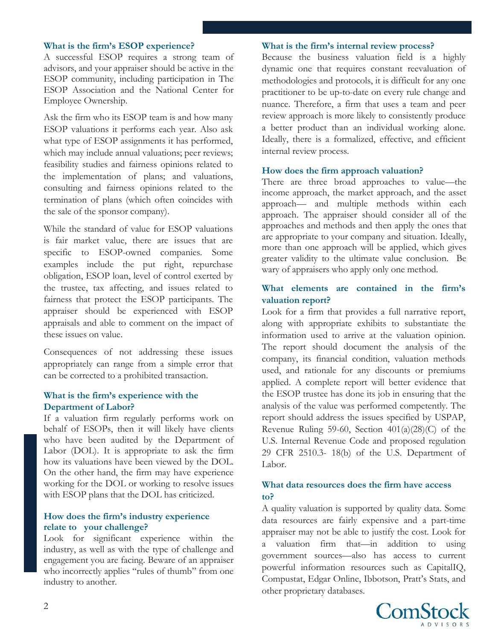#### **What is the firm's ESOP experience?**

A successful ESOP requires a strong team of advisors, and your appraiser should be active in the ESOP community, including participation in The ESOP Association and the National Center for Employee Ownership.

Ask the firm who its ESOP team is and how many ESOP valuations it performs each year. Also ask what type of ESOP assignments it has performed, which may include annual valuations; peer reviews; feasibility studies and fairness opinions related to the implementation of plans; and valuations, consulting and fairness opinions related to the termination of plans (which often coincides with the sale of the sponsor company).

While the standard of value for ESOP valuations is fair market value, there are issues that are specific to ESOP-owned companies. Some examples include the put right, repurchase obligation, ESOP loan, level of control exerted by the trustee, tax affecting, and issues related to fairness that protect the ESOP participants. The appraiser should be experienced with ESOP appraisals and able to comment on the impact of these issues on value.

Consequences of not addressing these issues appropriately can range from a simple error that can be corrected to a prohibited transaction.

#### **What is the firm's experience with the Department of Labor?**

If a valuation firm regularly performs work on behalf of ESOPs, then it will likely have clients who have been audited by the Department of Labor (DOL). It is appropriate to ask the firm how its valuations have been viewed by the DOL. On the other hand, the firm may have experience working for the DOL or working to resolve issues with ESOP plans that the DOL has criticized.

#### **How does the firm's industry experience relate to your challenge?**

Look for significant experience within the industry, as well as with the type of challenge and engagement you are facing. Beware of an appraiser who incorrectly applies "rules of thumb" from one industry to another.

#### **What is the firm's internal review process?**

Because the business valuation field is a highly dynamic one that requires constant reevaluation of methodologies and protocols, it is difficult for any one practitioner to be up-to-date on every rule change and nuance. Therefore, a firm that uses a team and peer review approach is more likely to consistently produce a better product than an individual working alone. Ideally, there is a formalized, effective, and efficient internal review process.

#### **How does the firm approach valuation?**

There are three broad approaches to value—the income approach, the market approach, and the asset approach— and multiple methods within each approach. The appraiser should consider all of the approaches and methods and then apply the ones that are appropriate to your company and situation. Ideally, more than one approach will be applied, which gives greater validity to the ultimate value conclusion. Be wary of appraisers who apply only one method.

#### **What elements are contained in the firm's valuation report?**

Look for a firm that provides a full narrative report, along with appropriate exhibits to substantiate the information used to arrive at the valuation opinion. The report should document the analysis of the company, its financial condition, valuation methods used, and rationale for any discounts or premiums applied. A complete report will better evidence that the ESOP trustee has done its job in ensuring that the analysis of the value was performed competently. The report should address the issues specified by USPAP, Revenue Ruling 59-60, Section  $401(a)(28)(C)$  of the U.S. Internal Revenue Code and proposed regulation 29 CFR 2510.3- 18(b) of the U.S. Department of Labor.

#### **What data resources does the firm have access to?**

A quality valuation is supported by quality data. Some data resources are fairly expensive and a part-time appraiser may not be able to justify the cost. Look for a valuation firm that—in addition to using government sources—also has access to current powerful information resources such as CapitalIQ, Compustat, Edgar Online, Ibbotson, Pratt's Stats, and other proprietary databases.